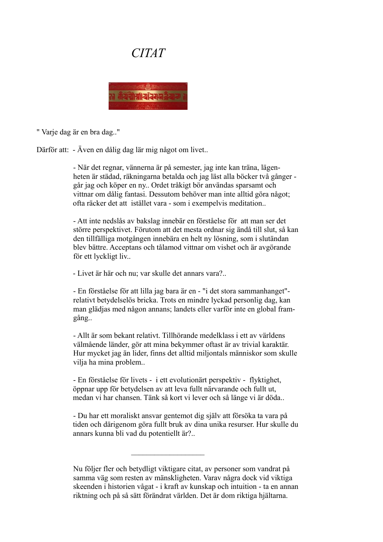## *CITAT*



" Varje dag är en bra dag.."

Därför att: - Även en dålig dag lär mig något om livet..

 $\mathcal{L}_\text{max}$  and  $\mathcal{L}_\text{max}$  are the set of the set of the set of the set of the set of the set of the set of the set of the set of the set of the set of the set of the set of the set of the set of the set of the set o

 - När det regnar, vännerna är på semester, jag inte kan träna, lägen heten är städad, räkningarna betalda och jag läst alla böcker två gånger går jag och köper en ny.. Ordet tråkigt bör användas sparsamt och vittnar om dålig fantasi. Dessutom behöver man inte alltid göra något; ofta räcker det att istället vara - som i exempelvis meditation..

 - Att inte nedslås av bakslag innebär en förståelse för att man ser det större perspektivet. Förutom att det mesta ordnar sig ändå till slut, så kan den tillfälliga motgången innebära en helt ny lösning, som i slutändan blev bättre. Acceptans och tålamod vittnar om vishet och är avgörande för ett lyckligt liv..

- Livet är här och nu; var skulle det annars vara?..

 - En förståelse för att lilla jag bara är en - "i det stora sammanhanget" relativt betydelselös bricka. Trots en mindre lyckad personlig dag, kan man glädjas med någon annans; landets eller varför inte en global fram gång..

 - Allt är som bekant relativt. Tillhörande medelklass i ett av världens välmående länder, gör att mina bekymmer oftast är av trivial karaktär. Hur mycket jag än lider, finns det alltid miljontals människor som skulle vilja ha mina problem..

 - En förståelse för livets - i ett evolutionärt perspektiv - flyktighet, öppnar upp för betydelsen av att leva fullt närvarande och fullt ut, medan vi har chansen. Tänk så kort vi lever och så länge vi är döda..

 - Du har ett moraliskt ansvar gentemot dig själv att försöka ta vara på tiden och därigenom göra fullt bruk av dina unika resurser. Hur skulle du annars kunna bli vad du potentiellt är?..

 Nu följer fler och betydligt viktigare citat, av personer som vandrat på samma väg som resten av mänskligheten. Varav några dock vid viktiga skeenden i historien vågat - i kraft av kunskap och intuition - ta en annan riktning och på så sätt förändrat världen. Det är dom riktiga hjältarna.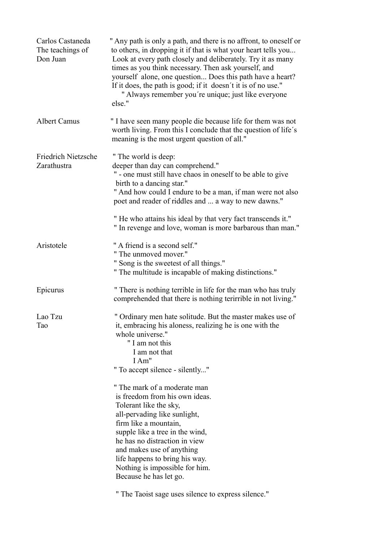| Carlos Castaneda<br>The teachings of<br>Don Juan | " Any path is only a path, and there is no affront, to oneself or<br>to others, in dropping it if that is what your heart tells you<br>Look at every path closely and deliberately. Try it as many<br>times as you think necessary. Then ask yourself, and<br>yourself alone, one question Does this path have a heart?<br>If it does, the path is good; if it doesn't it is of no use."<br>" Always remember you're unique; just like everyone<br>else."                                                                                                                                                                          |
|--------------------------------------------------|------------------------------------------------------------------------------------------------------------------------------------------------------------------------------------------------------------------------------------------------------------------------------------------------------------------------------------------------------------------------------------------------------------------------------------------------------------------------------------------------------------------------------------------------------------------------------------------------------------------------------------|
| <b>Albert Camus</b>                              | "I have seen many people die because life for them was not<br>worth living. From this I conclude that the question of life's<br>meaning is the most urgent question of all."                                                                                                                                                                                                                                                                                                                                                                                                                                                       |
| <b>Friedrich Nietzsche</b><br>Zarathustra        | " The world is deep:<br>deeper than day can comprehend."<br>" - one must still have chaos in oneself to be able to give<br>birth to a dancing star."<br>" And how could I endure to be a man, if man were not also<br>poet and reader of riddles and  a way to new dawns."                                                                                                                                                                                                                                                                                                                                                         |
|                                                  | " He who attains his ideal by that very fact transcends it."<br>" In revenge and love, woman is more barbarous than man."                                                                                                                                                                                                                                                                                                                                                                                                                                                                                                          |
| Aristotele                                       | " A friend is a second self."<br>" The unmoved mover."<br>" Song is the sweetest of all things."<br>" The multitude is incapable of making distinctions."                                                                                                                                                                                                                                                                                                                                                                                                                                                                          |
| Epicurus                                         | " There is nothing terrible in life for the man who has truly<br>comprehended that there is nothing terirrible in not living."                                                                                                                                                                                                                                                                                                                                                                                                                                                                                                     |
| Lao Tzu<br>Tao                                   | " Ordinary men hate solitude. But the master makes use of<br>it, embracing his aloness, realizing he is one with the<br>whole universe."<br>"I am not this<br>I am not that<br>I Am"<br>" To accept silence - silently"<br>" The mark of a moderate man<br>is freedom from his own ideas.<br>Tolerant like the sky,<br>all-pervading like sunlight,<br>firm like a mountain,<br>supple like a tree in the wind,<br>he has no distraction in view<br>and makes use of anything<br>life happens to bring his way.<br>Nothing is impossible for him.<br>Because he has let go.<br>" The Taoist sage uses silence to express silence." |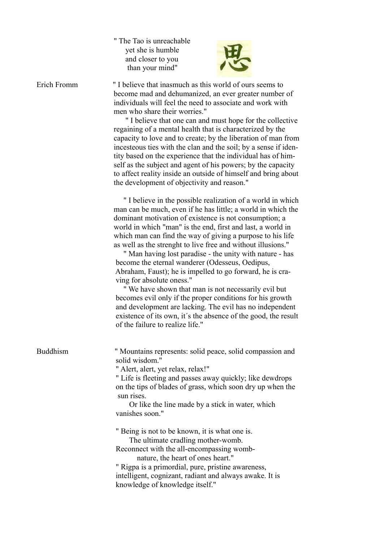|                 | " The Tao is unreachable<br>yet she is humble<br>and closer to you<br>than your mind"                                                                                                                                                                                                                                                                                                                                                                                                                                                                                                                                                                                                                                                                                                                                                                                             |
|-----------------|-----------------------------------------------------------------------------------------------------------------------------------------------------------------------------------------------------------------------------------------------------------------------------------------------------------------------------------------------------------------------------------------------------------------------------------------------------------------------------------------------------------------------------------------------------------------------------------------------------------------------------------------------------------------------------------------------------------------------------------------------------------------------------------------------------------------------------------------------------------------------------------|
| Erich Fromm     | "I believe that inasmuch as this world of ours seems to<br>become mad and dehumanized, an ever greater number of<br>individuals will feel the need to associate and work with<br>men who share their worries."<br>"I believe that one can and must hope for the collective<br>regaining of a mental health that is characterized by the<br>capacity to love and to create; by the liberation of man from<br>incesteous ties with the clan and the soil; by a sense if iden-<br>tity based on the experience that the individual has of him-<br>self as the subject and agent of his powers; by the capacity<br>to affect reality inside an outside of himself and bring about<br>the development of objectivity and reason."                                                                                                                                                      |
|                 | "I believe in the possible realization of a world in which<br>man can be much, even if he has little; a world in which the<br>dominant motivation of existence is not consumption; a<br>world in which "man" is the end, first and last, a world in<br>which man can find the way of giving a purpose to his life<br>as well as the strenght to live free and without illusions."<br>" Man having lost paradise - the unity with nature - has<br>become the eternal wanderer (Odesseus, Oedipus,<br>Abraham, Faust); he is impelled to go forward, he is cra-<br>ving for absolute oness."<br>" We have shown that man is not necessarily evil but<br>becomes evil only if the proper conditions for his growth<br>and development are lacking. The evil has no independent<br>existence of its own, it's the absence of the good, the result<br>of the failure to realize life." |
| <b>Buddhism</b> | " Mountains represents: solid peace, solid compassion and<br>solid wisdom."<br>" Alert, alert, yet relax, relax!"<br>" Life is fleeting and passes away quickly; like dewdrops<br>on the tips of blades of grass, which soon dry up when the<br>sun rises.<br>Or like the line made by a stick in water, which<br>vanishes soon."                                                                                                                                                                                                                                                                                                                                                                                                                                                                                                                                                 |
|                 | " Being is not to be known, it is what one is.<br>The ultimate cradling mother-womb.<br>Reconnect with the all-encompassing womb-<br>nature, the heart of ones heart."<br>" Rigpa is a primordial, pure, pristine awareness,<br>intelligent, cognizant, radiant and always awake. It is<br>knowledge of knowledge itself."                                                                                                                                                                                                                                                                                                                                                                                                                                                                                                                                                        |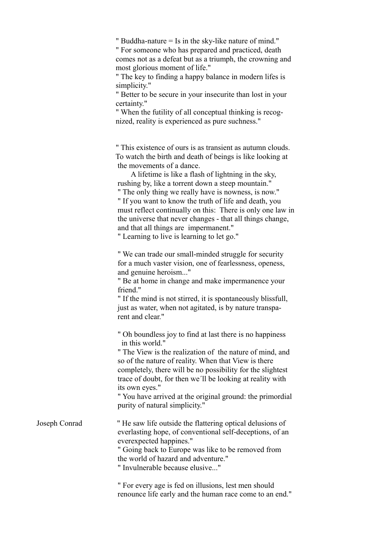|               | " Buddha-nature $=$ Is in the sky-like nature of mind."<br>" For someone who has prepared and practiced, death<br>comes not as a defeat but as a triumph, the crowning and<br>most glorious moment of life."<br>" The key to finding a happy balance in modern lifes is<br>simplicity."<br>" Better to be secure in your insecurite than lost in your<br>certainty."<br>" When the futility of all conceptual thinking is recog-<br>nized, reality is experienced as pure suchness."                                                                                                                 |
|---------------|------------------------------------------------------------------------------------------------------------------------------------------------------------------------------------------------------------------------------------------------------------------------------------------------------------------------------------------------------------------------------------------------------------------------------------------------------------------------------------------------------------------------------------------------------------------------------------------------------|
|               | " This existence of ours is as transient as autumn clouds.<br>To watch the birth and death of beings is like looking at<br>the movements of a dance.<br>A lifetime is like a flash of lightning in the sky,<br>rushing by, like a torrent down a steep mountain."<br>" The only thing we really have is nowness, is now."<br>"If you want to know the truth of life and death, you<br>must reflect continually on this: There is only one law in<br>the universe that never changes - that all things change,<br>and that all things are impermanent."<br>" Learning to live is learning to let go." |
|               | " We can trade our small-minded struggle for security<br>for a much vaster vision, one of fearlessness, openess,<br>and genuine heroism"<br>" Be at home in change and make impermanence your<br>friend."<br>" If the mind is not stirred, it is spontaneously blissfull,<br>just as water, when not agitated, is by nature transpa-<br>rent and clear."                                                                                                                                                                                                                                             |
|               | " Oh boundless joy to find at last there is no happiness<br>in this world."<br>" The View is the realization of the nature of mind, and<br>so of the nature of reality. When that View is there<br>completely, there will be no possibility for the slightest<br>trace of doubt, for then we'll be looking at reality with<br>its own eyes."<br>" You have arrived at the original ground: the primordial<br>purity of natural simplicity."                                                                                                                                                          |
| Joseph Conrad | " He saw life outside the flattering optical delusions of<br>everlasting hope, of conventional self-deceptions, of an<br>everexpected happines."<br>" Going back to Europe was like to be removed from<br>the world of hazard and adventure."<br>"Invulnerable because elusive"                                                                                                                                                                                                                                                                                                                      |
|               | " For every age is fed on illusions, lest men should                                                                                                                                                                                                                                                                                                                                                                                                                                                                                                                                                 |

renounce life early and the human race come to an end."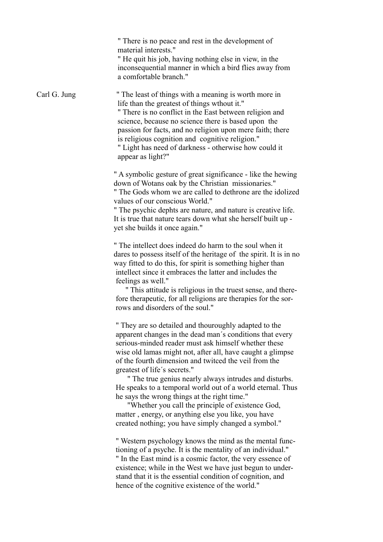|              | " There is no peace and rest in the development of<br>material interests."<br>" He quit his job, having nothing else in view, in the<br>inconsequential manner in which a bird flies away from<br>a comfortable branch."                                                                                                                                                                                                                                                                                                                                                                                                                                                                                                                                                                                                                                                                                                                                                                                                                          |
|--------------|---------------------------------------------------------------------------------------------------------------------------------------------------------------------------------------------------------------------------------------------------------------------------------------------------------------------------------------------------------------------------------------------------------------------------------------------------------------------------------------------------------------------------------------------------------------------------------------------------------------------------------------------------------------------------------------------------------------------------------------------------------------------------------------------------------------------------------------------------------------------------------------------------------------------------------------------------------------------------------------------------------------------------------------------------|
| Carl G. Jung | " The least of things with a meaning is worth more in<br>life than the greatest of things wthout it."<br>" There is no conflict in the East between religion and<br>science, because no science there is based upon the<br>passion for facts, and no religion upon mere faith; there<br>is religious cognition and cognitive religion."<br>" Light has need of darkness - otherwise how could it<br>appear as light?"                                                                                                                                                                                                                                                                                                                                                                                                                                                                                                                                                                                                                             |
|              | " A symbolic gesture of great significance - like the hewing<br>down of Wotans oak by the Christian missionaries."<br>" The Gods whom we are called to dethrone are the idolized<br>values of our conscious World."<br>" The psychic dephts are nature, and nature is creative life.<br>It is true that nature tears down what she herself built up -<br>yet she builds it once again."                                                                                                                                                                                                                                                                                                                                                                                                                                                                                                                                                                                                                                                           |
|              | " The intellect does indeed do harm to the soul when it<br>dares to possess itself of the heritage of the spirit. It is in no<br>way fitted to do this, for spirit is something higher than<br>intellect since it embraces the latter and includes the<br>feelings as well."<br>" This attitude is religious in the truest sense, and there-<br>fore therapeutic, for all religions are therapies for the sor-<br>rows and disorders of the soul."                                                                                                                                                                                                                                                                                                                                                                                                                                                                                                                                                                                                |
|              | " They are so detailed and thouroughly adapted to the<br>apparent changes in the dead man's conditions that every<br>serious-minded reader must ask himself whether these<br>wise old lamas might not, after all, have caught a glimpse<br>of the fourth dimension and twitced the veil from the<br>greatest of life's secrets."<br>" The true genius nearly always intrudes and disturbs.<br>He speaks to a temporal world out of a world eternal. Thus<br>he says the wrong things at the right time."<br>"Whether you call the principle of existence God,<br>matter, energy, or anything else you like, you have<br>created nothing; you have simply changed a symbol."<br>" Western psychology knows the mind as the mental func-<br>tioning of a psyche. It is the mentality of an individual."<br>" In the East mind is a cosmic factor, the very essence of<br>existence; while in the West we have just begun to under-<br>stand that it is the essential condition of cognition, and<br>hence of the cognitive existence of the world." |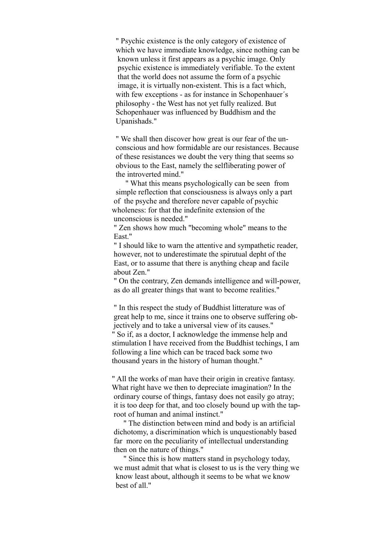" Psychic existence is the only category of existence of which we have immediate knowledge, since nothing can be known unless it first appears as a psychic image. Only psychic existence is immediately verifiable. To the extent that the world does not assume the form of a psychic image, it is virtually non-existent. This is a fact which, with few exceptions - as for instance in Schopenhauer's philosophy - the West has not yet fully realized. But Schopenhauer was influenced by Buddhism and the Upanishads."

 " We shall then discover how great is our fear of the un conscious and how formidable are our resistances. Because of these resistances we doubt the very thing that seems so obvious to the East, namely the selfliberating power of the introverted mind."

 " What this means psychologically can be seen from simple reflection that consciousness is always only a part of the psyche and therefore never capable of psychic wholeness: for that the indefinite extension of the unconscious is needed."

 " Zen shows how much "becoming whole" means to the East."

 " I should like to warn the attentive and sympathetic reader, however, not to underestimate the spirutual depht of the East, or to assume that there is anything cheap and facile about Zen."

 " On the contrary, Zen demands intelligence and will-power, as do all greater things that want to become realities."

 " In this respect the study of Buddhist litterature was of great help to me, since it trains one to observe suffering ob jectively and to take a universal view of its causes." " So if, as a doctor, I acknowledge the immense help and stimulation I have received from the Buddhist techings, I am following a line which can be traced back some two thousand years in the history of human thought."

 " All the works of man have their origin in creative fantasy. What right have we then to depreciate imagination? In the ordinary course of things, fantasy does not easily go atray; it is too deep for that, and too closely bound up with the tap root of human and animal instinct."

 " The distinction between mind and body is an artificial dichotomy, a discrimination which is unquestionably based far more on the peculiarity of intellectual understanding then on the nature of things."

 " Since this is how matters stand in psychology today, we must admit that what is closest to us is the very thing we know least about, although it seems to be what we know best of all."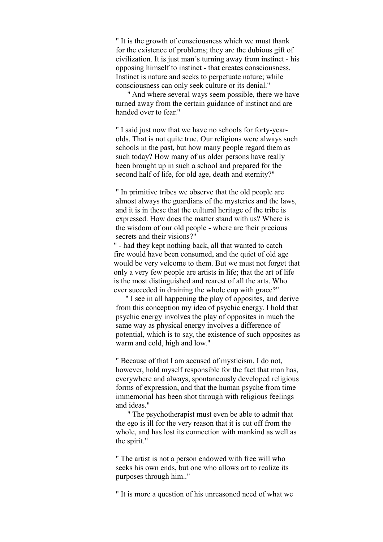" It is the growth of consciousness which we must thank for the existence of problems; they are the dubious gift of civilization. It is just man´s turning away from instinct - his opposing himself to instinct - that creates consciousness. Instinct is nature and seeks to perpetuate nature; while consciousness can only seek culture or its denial."

 " And where several ways seem possible, there we have turned away from the certain guidance of instinct and are handed over to fear."

 " I said just now that we have no schools for forty-year olds. That is not quite true. Our religions were always such schools in the past, but how many people regard them as such today? How many of us older persons have really been brought up in such a school and prepared for the second half of life, for old age, death and eternity?"

 " In primitive tribes we observe that the old people are almost always the guardians of the mysteries and the laws, and it is in these that the cultural heritage of the tribe is expressed. How does the matter stand with us? Where is the wisdom of our old people - where are their precious secrets and their visions?"

 " - had they kept nothing back, all that wanted to catch fire would have been consumed, and the quiet of old age would be very velcome to them. But we must not forget that only a very few people are artists in life; that the art of life is the most distinguished and rearest of all the arts. Who ever succeded in draining the whole cup with grace?"

 " I see in all happening the play of opposites, and derive from this conception my idea of psychic energy. I hold that psychic energy involves the play of opposites in much the same way as physical energy involves a difference of potential, which is to say, the existence of such opposites as warm and cold, high and low."

 " Because of that I am accused of mysticism. I do not, however, hold myself responsible for the fact that man has, everywhere and always, spontaneously developed religious forms of expression, and that the human psyche from time immemorial has been shot through with religious feelings and ideas."

 " The psychotherapist must even be able to admit that the ego is ill for the very reason that it is cut off from the whole, and has lost its connection with mankind as well as the spirit."

 " The artist is not a person endowed with free will who seeks his own ends, but one who allows art to realize its purposes through him.."

" It is more a question of his unreasoned need of what we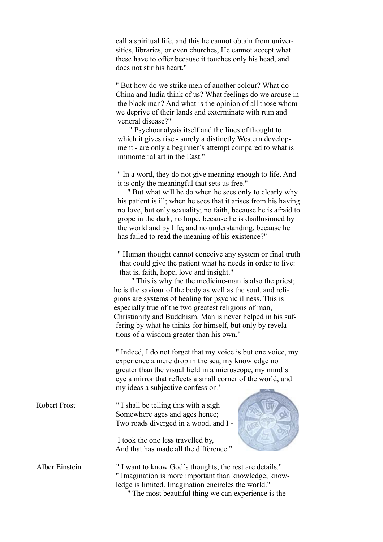call a spiritual life, and this he cannot obtain from univer sities, libraries, or even churches, He cannot accept what these have to offer because it touches only his head, and does not stir his heart."

 " But how do we strike men of another colour? What do China and India think of us? What feelings do we arouse in the black man? And what is the opinion of all those whom we deprive of their lands and exterminate with rum and veneral disease?"

 " Psychoanalysis itself and the lines of thought to which it gives rise - surely a distinctly Western develop ment - are only a beginner´s attempt compared to what is immomerial art in the East."

 " In a word, they do not give meaning enough to life. And it is only the meaningful that sets us free."

 " But what will he do when he sees only to clearly why his patient is ill; when he sees that it arises from his having no love, but only sexuality; no faith, because he is afraid to grope in the dark, no hope, because he is disillusioned by the world and by life; and no understanding, because he has failed to read the meaning of his existence?"

 " Human thought cannot conceive any system or final truth that could give the patient what he needs in order to live: that is, faith, hope, love and insight."

 " This is why the the medicine-man is also the priest; he is the saviour of the body as well as the soul, and reli gions are systems of healing for psychic illness. This is especially true of the two greatest religions of man, Christianity and Buddhism. Man is never helped in his suf fering by what he thinks for himself, but only by revela tions of a wisdom greater than his own."

 " Indeed, I do not forget that my voice is but one voice, my experience a mere drop in the sea, my knowledge no greater than the visual field in a microscope, my mind´s eye a mirror that reflects a small corner of the world, and my ideas a subjective confession."

Robert Frost " I shall be telling this with a sigh Somewhere ages and ages hence; Two roads diverged in a wood, and I -

> I took the one less travelled by, And that has made all the difference."



Alber Einstein " I want to know God´s thoughts, the rest are details." " Imagination is more important than knowledge; know ledge is limited. Imagination encircles the world." " The most beautiful thing we can experience is the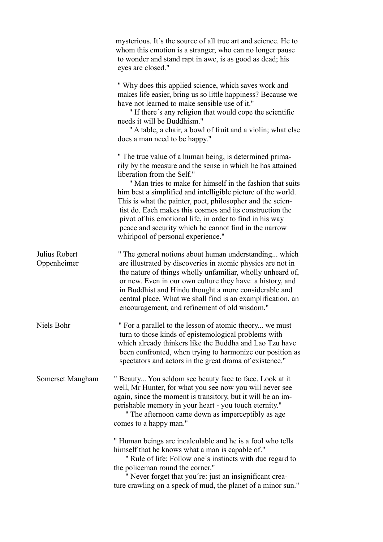|                              | mysterious. It's the source of all true art and science. He to<br>whom this emotion is a stranger, who can no longer pause<br>to wonder and stand rapt in awe, is as good as dead; his<br>eyes are closed."                                                                                                                                                                                                                                                                                                                                                           |
|------------------------------|-----------------------------------------------------------------------------------------------------------------------------------------------------------------------------------------------------------------------------------------------------------------------------------------------------------------------------------------------------------------------------------------------------------------------------------------------------------------------------------------------------------------------------------------------------------------------|
|                              | " Why does this applied science, which saves work and<br>makes life easier, bring us so little happiness? Because we<br>have not learned to make sensible use of it."<br>" If there's any religion that would cope the scientific<br>needs it will be Buddhism."<br>" A table, a chair, a bowl of fruit and a violin; what else<br>does a man need to be happy."                                                                                                                                                                                                      |
|                              | " The true value of a human being, is determined prima-<br>rily by the measure and the sense in which he has attained<br>liberation from the Self."<br>" Man tries to make for himself in the fashion that suits<br>him best a simplified and intelligible picture of the world.<br>This is what the painter, poet, philosopher and the scien-<br>tist do. Each makes this cosmos and its construction the<br>pivot of his emotional life, in order to find in his way<br>peace and security which he cannot find in the narrow<br>whirlpool of personal experience." |
| Julius Robert<br>Oppenheimer | " The general notions about human understanding which<br>are illustrated by discoveries in atomic physics are not in<br>the nature of things wholly unfamiliar, wholly unheard of,<br>or new. Even in our own culture they have a history, and<br>in Buddhist and Hindu thought a more considerable and<br>central place. What we shall find is an examplification, an<br>encouragement, and refinement of old wisdom."                                                                                                                                               |
| Niels Bohr                   | " For a parallel to the lesson of atomic theory we must<br>turn to those kinds of epistemological problems with<br>which already thinkers like the Buddha and Lao Tzu have<br>been confronted, when trying to harmonize our position as<br>spectators and actors in the great drama of existence."                                                                                                                                                                                                                                                                    |
| Somerset Maugham             | " Beauty You seldom see beauty face to face. Look at it<br>well, Mr Hunter, for what you see now you will never see<br>again, since the moment is transitory, but it will be an im-<br>perishable memory in your heart - you touch eternity."<br>" The afternoon came down as imperceptibly as age<br>comes to a happy man."                                                                                                                                                                                                                                          |
|                              | " Human beings are incalculable and he is a fool who tells<br>himself that he knows what a man is capable of."<br>" Rule of life: Follow one's instincts with due regard to<br>the policeman round the corner."<br>" Never forget that you're: just an insignificant crea-<br>ture crawling on a speck of mud, the planet of a minor sun."                                                                                                                                                                                                                            |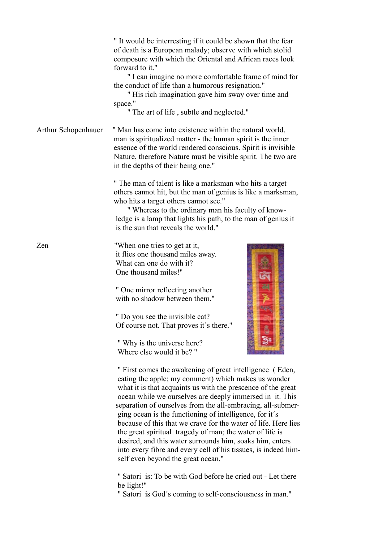" It would be interresting if it could be shown that the fear of death is a European malady; observe with which stolid composure with which the Oriental and African races look forward to it."

 " I can imagine no more comfortable frame of mind for the conduct of life than a humorous resignation."

 " His rich imagination gave him sway over time and space."

" The art of life , subtle and neglected."

Arthur Schopenhauer " Man has come into existence within the natural world, man is spiritualized matter - the human spirit is the inner essence of the world rendered conscious. Spirit is invisible Nature, therefore Nature must be visible spirit. The two are in the depths of their being one."

> " The man of talent is like a marksman who hits a target others cannot hit, but the man of genius is like a marksman, who hits a target others cannot see."

 " Whereas to the ordinary man his faculty of know ledge is a lamp that lights his path, to the man of genius it is the sun that reveals the world."

Zen "When one tries to get at it, it flies one thousand miles away. What can one do with it? One thousand miles!"

> " One mirror reflecting another with no shadow between them."

 " Do you see the invisible cat? Of course not. That proves it`s there."

 " Why is the universe here? Where else would it be? "



 " First comes the awakening of great intelligence ( Eden, eating the apple; my comment) which makes us wonder what it is that acquaints us with the prescence of the great ocean while we ourselves are deeply immersed in it. This separation of ourselves from the all-embracing, all-submer ging ocean is the functioning of intelligence, for it´s because of this that we crave for the water of life. Here lies the great spiritual tragedy of man; the water of life is desired, and this water surrounds him, soaks him, enters into every fibre and every cell of his tissues, is indeed him self even beyond the great ocean."

 " Satori is: To be with God before he cried out - Let there be light!"

" Satori is God´s coming to self-consciousness in man."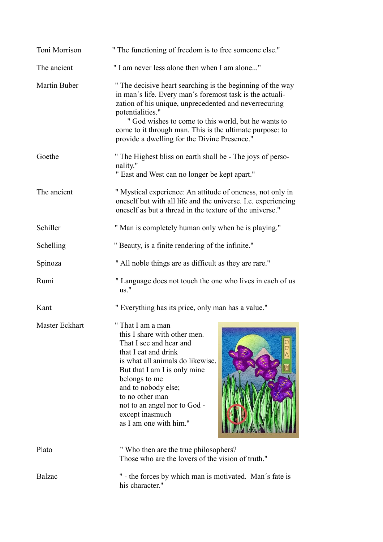| Toni Morrison  | " The functioning of freedom is to free someone else."                                                                                                                                                                                                                                                                                                                 |
|----------------|------------------------------------------------------------------------------------------------------------------------------------------------------------------------------------------------------------------------------------------------------------------------------------------------------------------------------------------------------------------------|
| The ancient    | "I am never less alone then when I am alone"                                                                                                                                                                                                                                                                                                                           |
| Martin Buber   | " The decisive heart searching is the beginning of the way<br>in man's life. Every man's foremost task is the actuali-<br>zation of his unique, unprecedented and neverrecuring<br>potentialities."<br>" God wishes to come to this world, but he wants to<br>come to it through man. This is the ultimate purpose: to<br>provide a dwelling for the Divine Presence." |
| Goethe         | " The Highest bliss on earth shall be - The joys of perso-<br>nality."<br>" East and West can no longer be kept apart."                                                                                                                                                                                                                                                |
| The ancient    | " Mystical experience: An attitude of oneness, not only in<br>oneself but with all life and the universe. I.e. experiencing<br>oneself as but a thread in the texture of the universe."                                                                                                                                                                                |
| Schiller       | " Man is completely human only when he is playing."                                                                                                                                                                                                                                                                                                                    |
| Schelling      | " Beauty, is a finite rendering of the infinite."                                                                                                                                                                                                                                                                                                                      |
| Spinoza        | " All noble things are as difficult as they are rare."                                                                                                                                                                                                                                                                                                                 |
| Rumi           | " Language does not touch the one who lives in each of us<br>$us.$ "                                                                                                                                                                                                                                                                                                   |
| Kant           | " Everything has its price, only man has a value."                                                                                                                                                                                                                                                                                                                     |
| Master Eckhart | " That I am a man<br>this I share with other men.<br>That I see and hear and<br>that I eat and drink<br>is what all animals do likewise.<br>But that I am I is only mine<br>belongs to me<br>and to nobody else;<br>to no other man<br>not to an angel nor to God -<br>except inasmuch<br>as I am one with him."                                                       |
| Plato          | " Who then are the true philosophers?<br>Those who are the lovers of the vision of truth."                                                                                                                                                                                                                                                                             |
| Balzac         | " - the forces by which man is motivated. Man's fate is<br>his character."                                                                                                                                                                                                                                                                                             |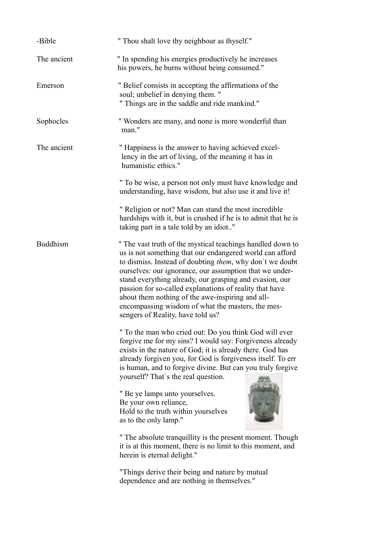| -Bible          | " Thou shalt love thy neighbour as thyself."                                                                                                                                                                                                                                                                                                                                                                                                                                                                      |
|-----------------|-------------------------------------------------------------------------------------------------------------------------------------------------------------------------------------------------------------------------------------------------------------------------------------------------------------------------------------------------------------------------------------------------------------------------------------------------------------------------------------------------------------------|
| The ancient     | " In spending his energies productively he increases<br>his powers, he burns without being consumed."                                                                                                                                                                                                                                                                                                                                                                                                             |
| Emerson         | " Belief consists in accepting the affirmations of the<br>soul; unbelief in denying them. "<br>" Things are in the saddle and ride mankind."                                                                                                                                                                                                                                                                                                                                                                      |
| Sophocles       | " Wonders are many, and none is more wonderful than<br>man."                                                                                                                                                                                                                                                                                                                                                                                                                                                      |
| The ancient     | " Happiness is the answer to having achieved excel-<br>lency in the art of living, of the meaning it has in<br>humanistic ethics."                                                                                                                                                                                                                                                                                                                                                                                |
|                 | " To be wise, a person not only must have knowledge and<br>understanding, have wisdom, but also use it and live it!                                                                                                                                                                                                                                                                                                                                                                                               |
|                 | " Religion or not? Man can stand the most incredible<br>hardships with it, but is crushed if he is to admit that he is<br>taking part in a tale told by an idiot"                                                                                                                                                                                                                                                                                                                                                 |
| <b>Buddhism</b> | " The vast truth of the mystical teachings handled down to<br>us is not something that our endangered world can afford<br>to dismiss. Instead of doubting them, why don't we doubt<br>ourselves: our ignorance, our assumption that we under-<br>stand everything already, our grasping and evasion, our<br>passion for so-called explanations of reality that have<br>about them nothing of the awe-inspiring and all-<br>encompassing wisdom of what the masters, the mes-<br>sengers of Reality, have told us? |
|                 | " To the man who cried out: Do you think God will ever<br>forgive me for my sins? I would say: Forgiveness already<br>exists in the nature of God; it is already there. God has<br>already forgiven you, for God is forgiveness itself. To err<br>is human, and to forgive divine. But can you truly forgive<br>yourself? That's the real question.<br>" Be ye lamps unto yourselves.<br>Be your own reliance,<br>Hold to the truth within yourselves<br>as to the only lamp."                                    |
|                 | " The absolute tranquillity is the present moment. Though<br>it is at this moment, there is no limit to this moment, and<br>herein is eternal delight."                                                                                                                                                                                                                                                                                                                                                           |
|                 | "Things derive their being and nature by mutual<br>dependence and are nothing in themselves."                                                                                                                                                                                                                                                                                                                                                                                                                     |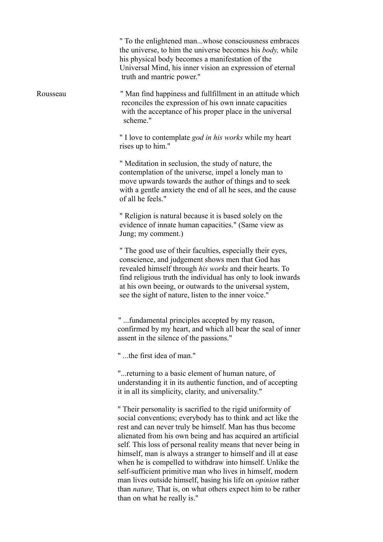|          | " To the enlightened manwhose consciousness embraces<br>the universe, to him the universe becomes his <i>body</i> , while<br>his physical body becomes a manifestation of the<br>Universal Mind, his inner vision an expression of eternal<br>truth and mantric power."                                                                                                                                                                                                                                                                                                                  |
|----------|------------------------------------------------------------------------------------------------------------------------------------------------------------------------------------------------------------------------------------------------------------------------------------------------------------------------------------------------------------------------------------------------------------------------------------------------------------------------------------------------------------------------------------------------------------------------------------------|
| Rousseau | " Man find happiness and fullfillment in an attitude which<br>reconciles the expression of his own innate capacities<br>with the acceptance of his proper place in the universal<br>scheme."                                                                                                                                                                                                                                                                                                                                                                                             |
|          | "I love to contemplate <i>god in his works</i> while my heart<br>rises up to him."                                                                                                                                                                                                                                                                                                                                                                                                                                                                                                       |
|          | " Meditation in seclusion, the study of nature, the<br>contemplation of the universe, impel a lonely man to<br>move upwards towards the author of things and to seek<br>with a gentle anxiety the end of all he sees, and the cause<br>of all he feels."                                                                                                                                                                                                                                                                                                                                 |
|          | " Religion is natural because it is based solely on the<br>evidence of innate human capacities." (Same view as<br>Jung; my comment.)                                                                                                                                                                                                                                                                                                                                                                                                                                                     |
|          | " The good use of their faculties, especially their eyes,<br>conscience, and judgement shows men that God has<br>revealed himself through his works and their hearts. To<br>find religious truth the individual has only to look inwards<br>at his own beeing, or outwards to the universal system,<br>see the sight of nature, listen to the inner voice."                                                                                                                                                                                                                              |
|          | "fundamental principles accepted by my reason,<br>confirmed by my heart, and which all bear the seal of inner<br>assent in the silence of the passions."                                                                                                                                                                                                                                                                                                                                                                                                                                 |
|          | "the first idea of man."                                                                                                                                                                                                                                                                                                                                                                                                                                                                                                                                                                 |
|          | " returning to a basic element of human nature, of<br>understanding it in its authentic function, and of accepting<br>it in all its simplicity, clarity, and universality."                                                                                                                                                                                                                                                                                                                                                                                                              |
|          | " Their personality is sacrified to the rigid uniformity of<br>social conventions; everybody has to think and act like the<br>rest and can never truly be himself. Man has thus become<br>alienated from his own being and has acquired an artificial<br>self. This loss of personal reality means that never being in<br>himself, man is always a stranger to himself and ill at ease<br>when he is compelled to withdraw into himself. Unlike the<br>self-sufficient primitive man who lives in himself, modern<br>man lives outside himself, basing his life on <i>opinion</i> rather |

than *nature,* That is, on what others expect him to be rather

than on what he really is."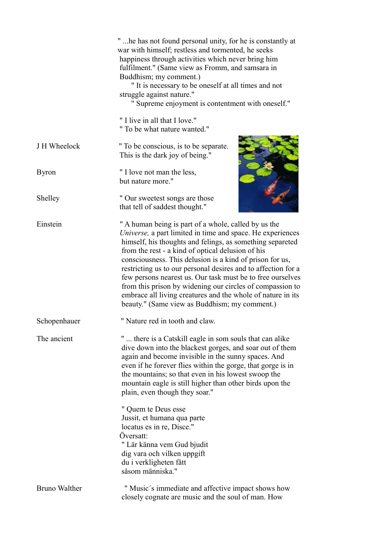|                      | "  he has not found personal unity, for he is constantly at<br>war with himself; restless and tormented, he seeks<br>happiness through activities which never bring him<br>fulfilment." (Same view as Fromm, and samsara in<br>Buddhism; my comment.)<br>"It is necessary to be oneself at all times and not<br>struggle against nature."<br>" Supreme enjoyment is contentment with oneself."<br>"I live in all that I love."                                                                                                                                                                               |
|----------------------|--------------------------------------------------------------------------------------------------------------------------------------------------------------------------------------------------------------------------------------------------------------------------------------------------------------------------------------------------------------------------------------------------------------------------------------------------------------------------------------------------------------------------------------------------------------------------------------------------------------|
|                      | " To be what nature wanted."                                                                                                                                                                                                                                                                                                                                                                                                                                                                                                                                                                                 |
| J H Wheelock         | " To be conscious, is to be separate.<br>This is the dark joy of being."                                                                                                                                                                                                                                                                                                                                                                                                                                                                                                                                     |
| <b>Byron</b>         | "I love not man the less,<br>but nature more."                                                                                                                                                                                                                                                                                                                                                                                                                                                                                                                                                               |
| Shelley              | " Our sweetest songs are those<br>that tell of saddest thought."                                                                                                                                                                                                                                                                                                                                                                                                                                                                                                                                             |
| Einstein             | " A human being is part of a whole, called by us the<br>Universe, a part limited in time and space. He experiences<br>himself, his thoughts and felings, as something separeted<br>from the rest - a kind of optical delusion of his<br>consciousness. This delusion is a kind of prison for us,<br>restricting us to our personal desires and to affection for a<br>few persons nearest us. Our task must be to free ourselves<br>from this prison by widening our circles of compassion to<br>embrace all living creatures and the whole of nature in its<br>beauty." (Same view as Buddhism; my comment.) |
| Schopenhauer         | " Nature red in tooth and claw.                                                                                                                                                                                                                                                                                                                                                                                                                                                                                                                                                                              |
| The ancient          | " there is a Catskill eagle in som souls that can alike<br>dive down into the blackest gorges, and soar out of them<br>again and become invisible in the sunny spaces. And<br>even if he forever flies within the gorge, that gorge is in<br>the mountains; so that even in his lowest swoop the<br>mountain eagle is still higher than other birds upon the<br>plain, even though they soar."                                                                                                                                                                                                               |
|                      | " Quem te Deus esse<br>Jussit, et humana qua parte<br>locatus es in re, Disce."<br>Översatt:<br>" Lär känna vem Gud bjudit<br>dig vara och vilken uppgift<br>du i verkligheten fått<br>såsom människa."                                                                                                                                                                                                                                                                                                                                                                                                      |
| <b>Bruno Walther</b> | " Music's immediate and affective impact shows how<br>closely cognate are music and the soul of man. How                                                                                                                                                                                                                                                                                                                                                                                                                                                                                                     |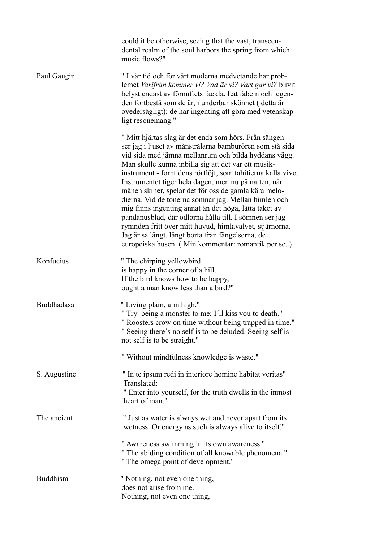|                 | could it be otherwise, seeing that the vast, transcen-<br>dental realm of the soul harbors the spring from which<br>music flows?"                                                                                                                                                                                                                                                                                                                                                                                                                                                                                                                                                                                                                                 |
|-----------------|-------------------------------------------------------------------------------------------------------------------------------------------------------------------------------------------------------------------------------------------------------------------------------------------------------------------------------------------------------------------------------------------------------------------------------------------------------------------------------------------------------------------------------------------------------------------------------------------------------------------------------------------------------------------------------------------------------------------------------------------------------------------|
| Paul Gaugin     | "I vår tid och för vårt moderna medvetande har prob-<br>lemet Varifrån kommer vi? Vad är vi? Vart går vi? blivit<br>belyst endast av förnuftets fackla. Låt fabeln och legen-<br>den fortbestå som de är, i underbar skönhet (detta är<br>ovedersägligt); de har ingenting att göra med vetenskap-<br>ligt resonemang."                                                                                                                                                                                                                                                                                                                                                                                                                                           |
|                 | " Mitt hjärtas slag är det enda som hörs. Från sängen<br>ser jag i ljuset av månstrålarna bamburören som stå sida<br>vid sida med jämna mellanrum och bilda hyddans vägg.<br>Man skulle kunna inbilla sig att det var ett musik-<br>instrument - forntidens rörflöjt, som tahitierna kalla vivo.<br>Instrumentet tiger hela dagen, men nu på natten, när<br>månen skiner, spelar det för oss de gamla kära melo-<br>dierna. Vid de tonerna somnar jag. Mellan himlen och<br>mig finns ingenting annat än det höga, lätta taket av<br>pandanusblad, där ödlorna hålla till. I sömnen ser jag<br>rymnden fritt över mitt huvud, himlavalvet, stjärnorna.<br>Jag är så långt, långt borta från fängelserna, de<br>europeiska husen. (Min kommentar: romantik per se) |
| Konfucius       | " The chirping yellowbird<br>is happy in the corner of a hill.<br>If the bird knows how to be happy,<br>ought a man know less than a bird?"                                                                                                                                                                                                                                                                                                                                                                                                                                                                                                                                                                                                                       |
| Buddhadasa      | " Living plain, aim high."<br>" Try being a monster to me; I'll kiss you to death."<br>" Roosters crow on time without being trapped in time."<br>" Seeing there's no self is to be deluded. Seeing self is<br>not self is to be straight."                                                                                                                                                                                                                                                                                                                                                                                                                                                                                                                       |
|                 | " Without mindfulness knowledge is waste."                                                                                                                                                                                                                                                                                                                                                                                                                                                                                                                                                                                                                                                                                                                        |
| S. Augustine    | " In te ipsum redi in interiore homine habitat veritas"<br>Translated:<br>" Enter into yourself, for the truth dwells in the inmost<br>heart of man."                                                                                                                                                                                                                                                                                                                                                                                                                                                                                                                                                                                                             |
| The ancient     | " Just as water is always wet and never apart from its<br>wetness. Or energy as such is always alive to itself."                                                                                                                                                                                                                                                                                                                                                                                                                                                                                                                                                                                                                                                  |
|                 | " Awareness swimming in its own awareness."<br>" The abiding condition of all knowable phenomena."<br>" The omega point of development."                                                                                                                                                                                                                                                                                                                                                                                                                                                                                                                                                                                                                          |
| <b>Buddhism</b> | " Nothing, not even one thing,<br>does not arise from me.<br>Nothing, not even one thing,                                                                                                                                                                                                                                                                                                                                                                                                                                                                                                                                                                                                                                                                         |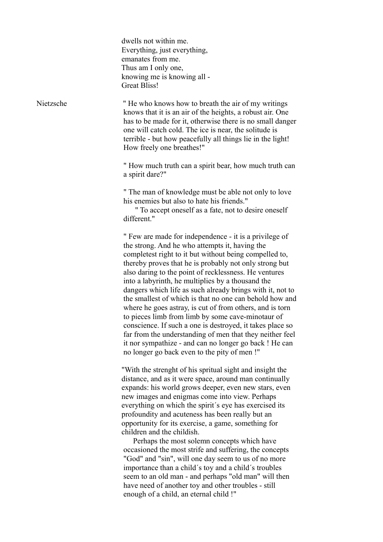dwells not within me. Everything, just everything, emanates from me. Thus am I only one, knowing me is knowing all - Great Bliss!

Nietzsche " He who knows how to breath the air of my writings knows that it is an air of the heights, a robust air. One has to be made for it, otherwise there is no small danger one will catch cold. The ice is near, the solitude is terrible - but how peacefully all things lie in the light! How freely one breathes!"

> " How much truth can a spirit bear, how much truth can a spirit dare?"

 " The man of knowledge must be able not only to love his enemies but also to hate his friends."

 " To accept oneself as a fate, not to desire oneself different."

 " Few are made for independence - it is a privilege of the strong. And he who attempts it, having the completest right to it but without being compelled to, thereby proves that he is probably not only strong but also daring to the point of recklessness. He ventures into a labyrinth, he multiplies by a thousand the dangers which life as such already brings with it, not to the smallest of which is that no one can behold how and where he goes astray, is cut of from others, and is torn to pieces limb from limb by some cave-minotaur of conscience. If such a one is destroyed, it takes place so far from the understanding of men that they neither feel it nor sympathize - and can no longer go back ! He can no longer go back even to the pity of men !"

 "With the strenght of his spritual sight and insight the distance, and as it were space, around man continually expands: his world grows deeper, even new stars, even new images and enigmas come into view. Perhaps everything on which the spirit´s eye has exercised its profoundity and acuteness has been really but an opportunity for its exercise, a game, something for children and the childish.

 Perhaps the most solemn concepts which have occasioned the most strife and suffering, the concepts "God" and "sin", will one day seem to us of no more importance than a child´s toy and a child´s troubles seem to an old man - and perhaps "old man" will then have need of another toy and other troubles - still enough of a child, an eternal child !"